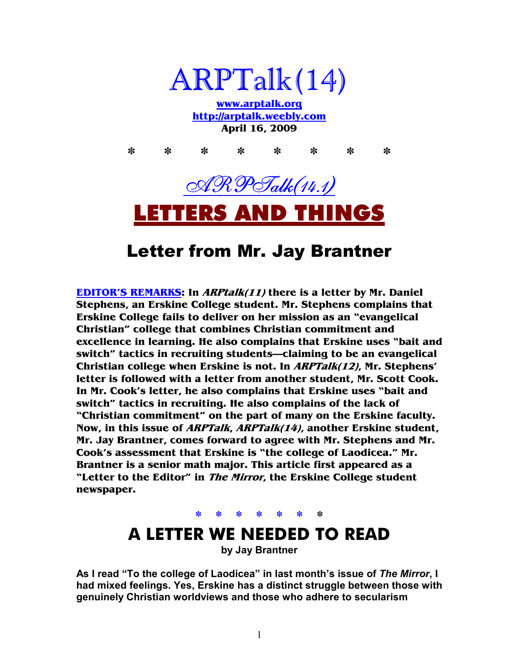

**www.arptalk.org http://arptalk.weebly.com April 16, 2009** 

**\* \* \* \* \* \* \* \***  ARPTalk(14.1) **TTERS AND THINGS** 

# Letter from Mr. Jay Brantner

**EDITOR'S REMARKS: In ARPtalk(11) there is a letter by Mr. Daniel Stephens, an Erskine College student. Mr. Stephens complains that Erskine College fails to deliver on her mission as an "evangelical Christian" college that combines Christian commitment and excellence in learning. He also complains that Erskine uses "bait and switch" tactics in recruiting students—claiming to be an evangelical Christian college when Erskine is not. In ARPTalk(12), Mr. Stephens' letter is followed with a letter from another student, Mr. Scott Cook. In Mr. Cook's letter, he also complains that Erskine uses "bait and switch" tactics in recruiting. He also complains of the lack of "Christian commitment" on the part of many on the Erskine faculty. Now, in this issue of ARPTalk, ARPTalk(14), another Erskine student, Mr. Jay Brantner, comes forward to agree with Mr. Stephens and Mr. Cook's assessment that Erskine is "the college of Laodicea." Mr. Brantner is a senior math major. This article first appeared as a "Letter to the Editor" in The Mirror, the Erskine College student newspaper.** 

**\* \* \* \* \* \* \*** 

# **A LETTER WE NEEDED TO READ**

**by Jay Brantner** 

**As I read "To the college of Laodicea" in last month's issue of** *The Mirror***, I had mixed feelings. Yes, Erskine has a distinct struggle between those with genuinely Christian worldviews and those who adhere to secularism**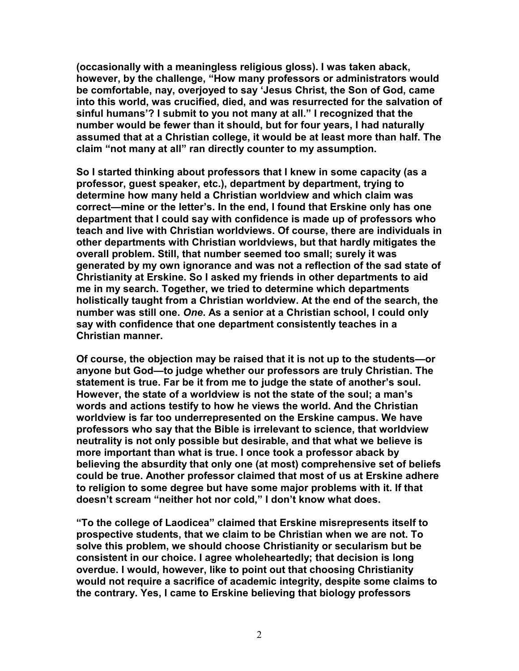**(occasionally with a meaningless religious gloss). I was taken aback, however, by the challenge, "How many professors or administrators would be comfortable, nay, overjoyed to say 'Jesus Christ, the Son of God, came into this world, was crucified, died, and was resurrected for the salvation of sinful humans'? I submit to you not many at all." I recognized that the number would be fewer than it should, but for four years, I had naturally assumed that at a Christian college, it would be at least more than half. The claim "not many at all" ran directly counter to my assumption.** 

**So I started thinking about professors that I knew in some capacity (as a professor, guest speaker, etc.), department by department, trying to determine how many held a Christian worldview and which claim was correct—mine or the letter's. In the end, I found that Erskine only has one department that I could say with confidence is made up of professors who teach and live with Christian worldviews. Of course, there are individuals in other departments with Christian worldviews, but that hardly mitigates the overall problem. Still, that number seemed too small; surely it was generated by my own ignorance and was not a reflection of the sad state of Christianity at Erskine. So I asked my friends in other departments to aid me in my search. Together, we tried to determine which departments holistically taught from a Christian worldview. At the end of the search, the number was still one.** *One***. As a senior at a Christian school, I could only say with confidence that one department consistently teaches in a Christian manner.** 

**Of course, the objection may be raised that it is not up to the students—or anyone but God—to judge whether our professors are truly Christian. The statement is true. Far be it from me to judge the state of another's soul. However, the state of a worldview is not the state of the soul; a man's words and actions testify to how he views the world. And the Christian worldview is far too underrepresented on the Erskine campus. We have professors who say that the Bible is irrelevant to science, that worldview neutrality is not only possible but desirable, and that what we believe is more important than what is true. I once took a professor aback by believing the absurdity that only one (at most) comprehensive set of beliefs could be true. Another professor claimed that most of us at Erskine adhere to religion to some degree but have some major problems with it. If that doesn't scream "neither hot nor cold," I don't know what does.** 

**"To the college of Laodicea" claimed that Erskine misrepresents itself to prospective students, that we claim to be Christian when we are not. To solve this problem, we should choose Christianity or secularism but be consistent in our choice. I agree wholeheartedly; that decision is long overdue. I would, however, like to point out that choosing Christianity would not require a sacrifice of academic integrity, despite some claims to the contrary. Yes, I came to Erskine believing that biology professors**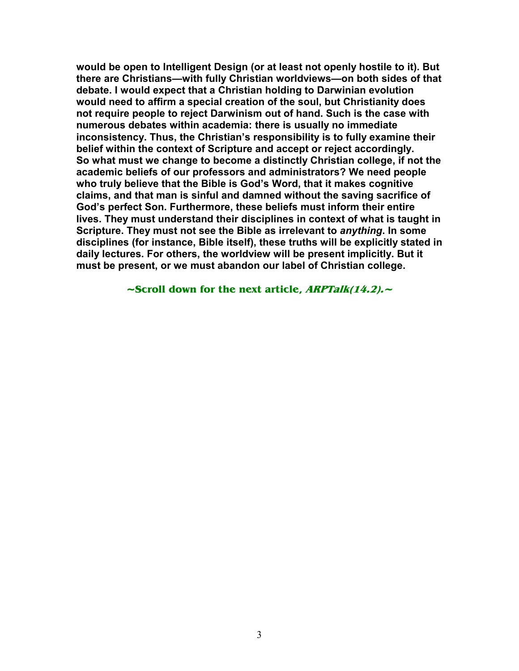**would be open to Intelligent Design (or at least not openly hostile to it). But there are Christians—with fully Christian worldviews—on both sides of that debate. I would expect that a Christian holding to Darwinian evolution would need to affirm a special creation of the soul, but Christianity does not require people to reject Darwinism out of hand. Such is the case with numerous debates within academia: there is usually no immediate inconsistency. Thus, the Christian's responsibility is to fully examine their belief within the context of Scripture and accept or reject accordingly. So what must we change to become a distinctly Christian college, if not the academic beliefs of our professors and administrators? We need people who truly believe that the Bible is God's Word, that it makes cognitive claims, and that man is sinful and damned without the saving sacrifice of God's perfect Son. Furthermore, these beliefs must inform their entire lives. They must understand their disciplines in context of what is taught in Scripture. They must not see the Bible as irrelevant to** *anything***. In some disciplines (for instance, Bible itself), these truths will be explicitly stated in daily lectures. For others, the worldview will be present implicitly. But it must be present, or we must abandon our label of Christian college.** 

**~Scroll down for the next article, ARPTalk(14.2).~**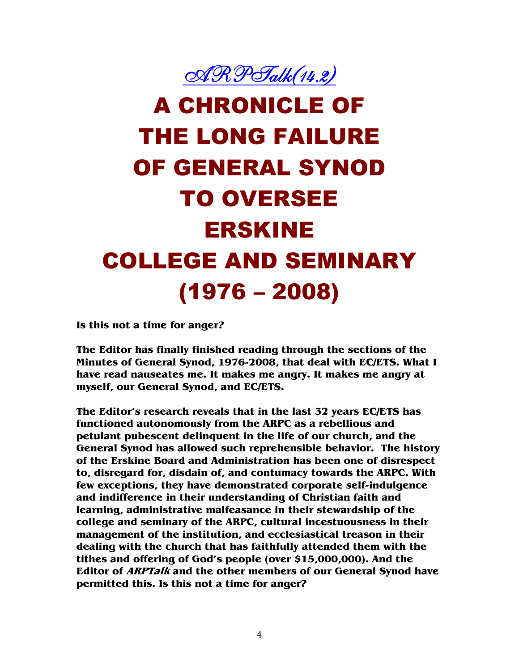

# A CHRONICLE OF THE LONG FAILURE OF GENERAL SYNOD TO OVERSEE ERSKINE COLLEGE AND SEMINARY (1976 – 2008)

**Is this not a time for anger?** 

**The Editor has finally finished reading through the sections of the Minutes of General Synod, 1976-2008, that deal with EC/ETS. What I have read nauseates me. It makes me angry. It makes me angry at myself, our General Synod, and EC/ETS.** 

**The Editor's research reveals that in the last 32 years EC/ETS has functioned autonomously from the ARPC as a rebellious and petulant pubescent delinquent in the life of our church, and the General Synod has allowed such reprehensible behavior. The history of the Erskine Board and Administration has been one of disrespect to, disregard for, disdain of, and contumacy towards the ARPC. With few exceptions, they have demonstrated corporate self-indulgence and indifference in their understanding of Christian faith and learning, administrative malfeasance in their stewardship of the college and seminary of the ARPC, cultural incestuousness in their management of the institution, and ecclesiastical treason in their dealing with the church that has faithfully attended them with the tithes and offering of God's people (over \$15,000,000). And the Editor of ARPTalk and the other members of our General Synod have permitted this. Is this not a time for anger?**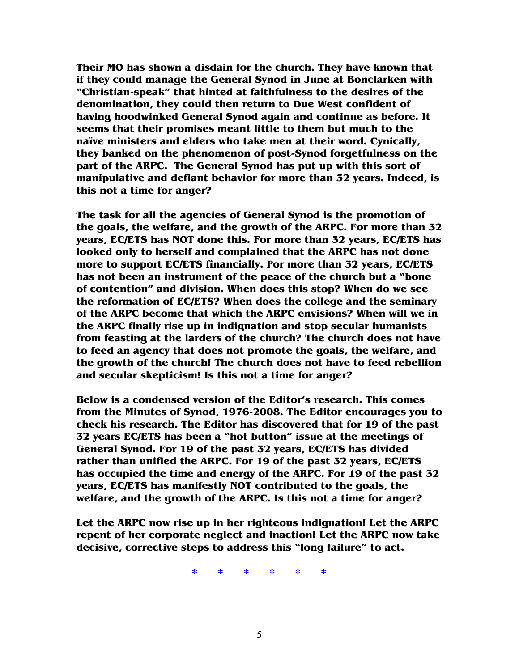**Their MO has shown a disdain for the church. They have known that if they could manage the General Synod in June at Bonclarken with "Christian-speak" that hinted at faithfulness to the desires of the denomination, they could then return to Due West confident of having hoodwinked General Synod again and continue as before. It seems that their promises meant little to them but much to the naïve ministers and elders who take men at their word. Cynically, they banked on the phenomenon of post-Synod forgetfulness on the part of the ARPC. The General Synod has put up with this sort of manipulative and defiant behavior for more than 32 years. Indeed, is this not a time for anger?** 

**The task for all the agencies of General Synod is the promotion of the goals, the welfare, and the growth of the ARPC. For more than 32 years, EC/ETS has NOT done this. For more than 32 years, EC/ETS has looked only to herself and complained that the ARPC has not done more to support EC/ETS financially. For more than 32 years, EC/ETS has not been an instrument of the peace of the church but a "bone of contention" and division. When does this stop? When do we see the reformation of EC/ETS? When does the college and the seminary of the ARPC become that which the ARPC envisions? When will we in the ARPC finally rise up in indignation and stop secular humanists from feasting at the larders of the church? The church does not have to feed an agency that does not promote the goals, the welfare, and the growth of the church! The church does not have to feed rebellion and secular skepticism! Is this not a time for anger?** 

**Below is a condensed version of the Editor's research. This comes from the Minutes of Synod, 1976-2008. The Editor encourages you to check his research. The Editor has discovered that for 19 of the past 32 years EC/ETS has been a "hot button" issue at the meetings of General Synod. For 19 of the past 32 years, EC/ETS has divided rather than unified the ARPC. For 19 of the past 32 years, EC/ETS has occupied the time and energy of the ARPC. For 19 of the past 32 years, EC/ETS has manifestly NOT contributed to the goals, the welfare, and the growth of the ARPC. Is this not a time for anger?** 

**Let the ARPC now rise up in her righteous indignation! Let the ARPC repent of her corporate neglect and inaction! Let the ARPC now take decisive, corrective steps to address this "long failure" to act.** 

**\* \* \* \* \* \***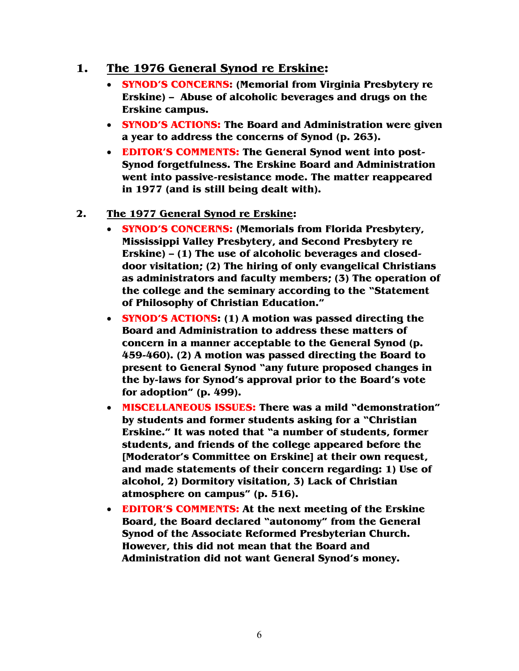#### **1. The 1976 General Synod re Erskine:**

- **SYNOD'S CONCERNS: (Memorial from Virginia Presbytery re Erskine) – Abuse of alcoholic beverages and drugs on the Erskine campus.**
- **SYNOD'S ACTIONS: The Board and Administration were given a year to address the concerns of Synod (p. 263).**
- **EDITOR'S COMMENTS: The General Synod went into post-Synod forgetfulness. The Erskine Board and Administration went into passive-resistance mode. The matter reappeared in 1977 (and is still being dealt with).**

#### **2. The 1977 General Synod re Erskine:**

- **SYNOD'S CONCERNS: (Memorials from Florida Presbytery, Mississippi Valley Presbytery, and Second Presbytery re Erskine) – (1) The use of alcoholic beverages and closeddoor visitation; (2) The hiring of only evangelical Christians as administrators and faculty members; (3) The operation of the college and the seminary according to the "Statement of Philosophy of Christian Education."**
- **SYNOD'S ACTIONS: (1) A motion was passed directing the Board and Administration to address these matters of concern in a manner acceptable to the General Synod (p. 459-460). (2) A motion was passed directing the Board to present to General Synod "any future proposed changes in the by-laws for Synod's approval prior to the Board's vote for adoption" (p. 499).**
- **MISCELLANEOUS ISSUES: There was a mild "demonstration" by students and former students asking for a "Christian Erskine." It was noted that "a number of students, former students, and friends of the college appeared before the [Moderator's Committee on Erskine] at their own request, and made statements of their concern regarding: 1) Use of alcohol, 2) Dormitory visitation, 3) Lack of Christian atmosphere on campus" (p. 516).**
- **EDITOR'S COMMENTS: At the next meeting of the Erskine Board, the Board declared "autonomy" from the General Synod of the Associate Reformed Presbyterian Church. However, this did not mean that the Board and Administration did not want General Synod's money.**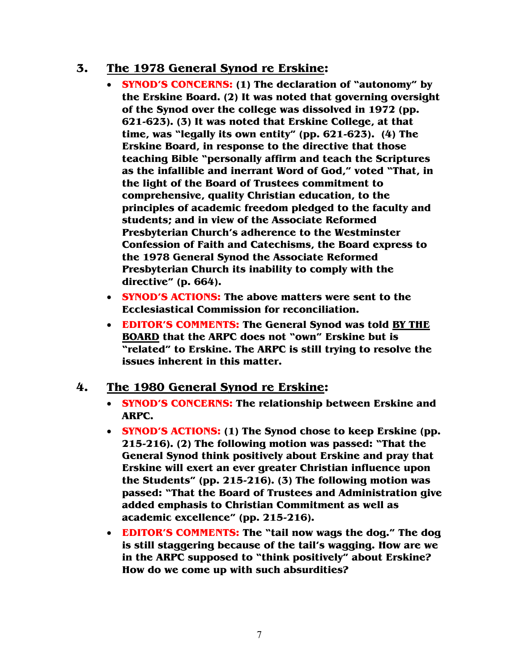## **3. The 1978 General Synod re Erskine:**

- **SYNOD'S CONCERNS: (1) The declaration of "autonomy" by the Erskine Board. (2) It was noted that governing oversight of the Synod over the college was dissolved in 1972 (pp. 621-623). (3) It was noted that Erskine College, at that time, was "legally its own entity" (pp. 621-623). (4) The Erskine Board, in response to the directive that those teaching Bible "personally affirm and teach the Scriptures as the infallible and inerrant Word of God," voted "That, in the light of the Board of Trustees commitment to comprehensive, quality Christian education, to the principles of academic freedom pledged to the faculty and students; and in view of the Associate Reformed Presbyterian Church's adherence to the Westminster Confession of Faith and Catechisms, the Board express to the 1978 General Synod the Associate Reformed Presbyterian Church its inability to comply with the directive" (p. 664).**
- **SYNOD'S ACTIONS: The above matters were sent to the Ecclesiastical Commission for reconciliation.**
- **EDITOR'S COMMENTS: The General Synod was told BY THE BOARD that the ARPC does not "own" Erskine but is "related" to Erskine. The ARPC is still trying to resolve the issues inherent in this matter.**

#### **4. The 1980 General Synod re Erskine:**

- **SYNOD'S CONCERNS: The relationship between Erskine and ARPC.**
- **SYNOD'S ACTIONS: (1) The Synod chose to keep Erskine (pp. 215-216). (2) The following motion was passed: "That the General Synod think positively about Erskine and pray that Erskine will exert an ever greater Christian influence upon the Students" (pp. 215-216). (3) The following motion was passed: "That the Board of Trustees and Administration give added emphasis to Christian Commitment as well as academic excellence" (pp. 215-216).**
- **EDITOR'S COMMENTS: The "tail now wags the dog." The dog is still staggering because of the tail's wagging. How are we in the ARPC supposed to "think positively" about Erskine? How do we come up with such absurdities?**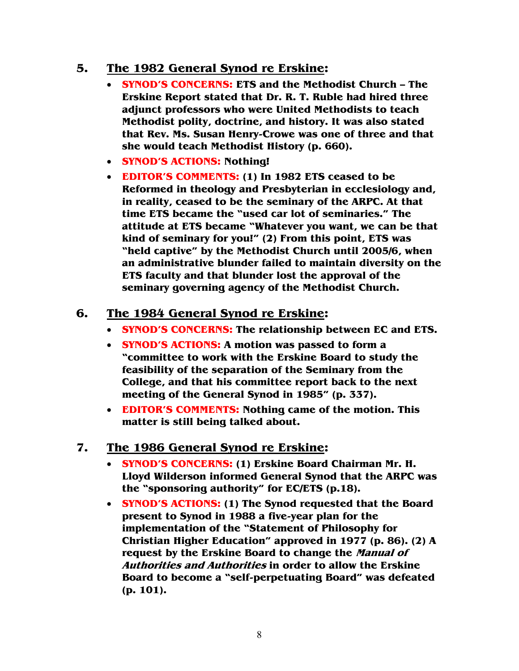## **5. The 1982 General Synod re Erskine:**

- **SYNOD'S CONCERNS: ETS and the Methodist Church The Erskine Report stated that Dr. R. T. Ruble had hired three adjunct professors who were United Methodists to teach Methodist polity, doctrine, and history. It was also stated that Rev. Ms. Susan Henry-Crowe was one of three and that she would teach Methodist History (p. 660).**
- **SYNOD'S ACTIONS: Nothing!**
- **EDITOR'S COMMENTS: (1) In 1982 ETS ceased to be Reformed in theology and Presbyterian in ecclesiology and, in reality, ceased to be the seminary of the ARPC. At that time ETS became the "used car lot of seminaries." The attitude at ETS became "Whatever you want, we can be that kind of seminary for you!" (2) From this point, ETS was "held captive" by the Methodist Church until 2005/6, when an administrative blunder failed to maintain diversity on the ETS faculty and that blunder lost the approval of the seminary governing agency of the Methodist Church.**

#### **6. The 1984 General Synod re Erskine:**

- **SYNOD'S CONCERNS: The relationship between EC and ETS.**
- **SYNOD'S ACTIONS: A motion was passed to form a "committee to work with the Erskine Board to study the feasibility of the separation of the Seminary from the College, and that his committee report back to the next meeting of the General Synod in 1985" (p. 337).**
- **EDITOR'S COMMENTS: Nothing came of the motion. This matter is still being talked about.**

#### **7. The 1986 General Synod re Erskine:**

- **SYNOD'S CONCERNS: (1) Erskine Board Chairman Mr. H. Lloyd Wilderson informed General Synod that the ARPC was the "sponsoring authority" for EC/ETS (p.18).**
- **SYNOD'S ACTIONS: (1) The Synod requested that the Board present to Synod in 1988 a five-year plan for the implementation of the "Statement of Philosophy for Christian Higher Education" approved in 1977 (p. 86). (2) A request by the Erskine Board to change the Manual of Authorities and Authorities in order to allow the Erskine Board to become a "self-perpetuating Board" was defeated (p. 101).**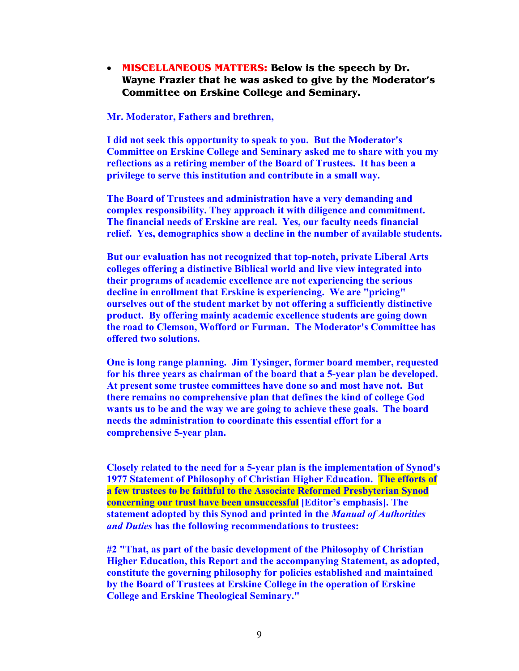• **MISCELLANEOUS MATTERS: Below is the speech by Dr. Wayne Frazier that he was asked to give by the Moderator's Committee on Erskine College and Seminary.** 

**Mr. Moderator, Fathers and brethren,** 

**I did not seek this opportunity to speak to you. But the Moderator's Committee on Erskine College and Seminary asked me to share with you my reflections as a retiring member of the Board of Trustees. It has been a privilege to serve this institution and contribute in a small way.** 

**The Board of Trustees and administration have a very demanding and complex responsibility. They approach it with diligence and commitment. The financial needs of Erskine are real. Yes, our faculty needs financial relief. Yes, demographics show a decline in the number of available students.** 

**But our evaluation has not recognized that top-notch, private Liberal Arts colleges offering a distinctive Biblical world and live view integrated into their programs of academic excellence are not experiencing the serious decline in enrollment that Erskine is experiencing. We are "pricing" ourselves out of the student market by not offering a sufficiently distinctive product. By offering mainly academic excellence students are going down the road to Clemson, Wofford or Furman. The Moderator's Committee has offered two solutions.** 

**One is long range planning. Jim Tysinger, former board member, requested for his three years as chairman of the board that a 5-year plan be developed. At present some trustee committees have done so and most have not. But there remains no comprehensive plan that defines the kind of college God wants us to be and the way we are going to achieve these goals. The board needs the administration to coordinate this essential effort for a comprehensive 5-year plan.** 

**Closely related to the need for a 5-year plan is the implementation of Synod's 1977 Statement of Philosophy of Christian Higher Education. The efforts of a few trustees to be faithful to the Associate Reformed Presbyterian Synod concerning our trust have been unsuccessful [Editor's emphasis]. The statement adopted by this Synod and printed in the** *Manual of Authorities and Duties* **has the following recommendations to trustees:** 

**#2 "That, as part of the basic development of the Philosophy of Christian Higher Education, this Report and the accompanying Statement, as adopted, constitute the governing philosophy for policies established and maintained by the Board of Trustees at Erskine College in the operation of Erskine College and Erskine Theological Seminary."**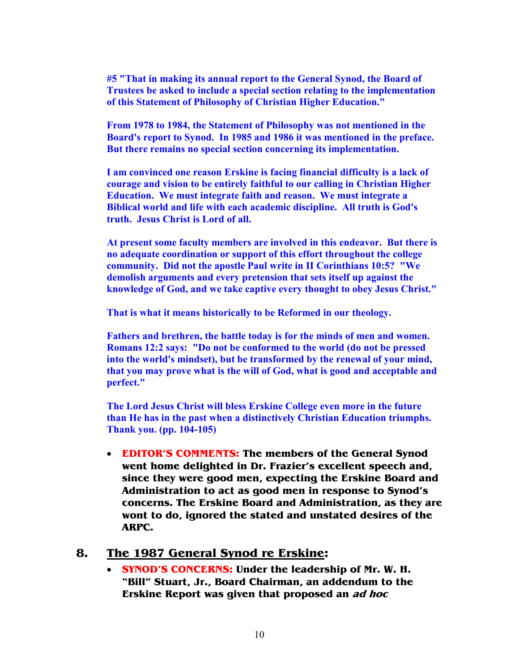**#5 "That in making its annual report to the General Synod, the Board of Trustees be asked to include a special section relating to the implementation of this Statement of Philosophy of Christian Higher Education."** 

**From 1978 to 1984, the Statement of Philosophy was not mentioned in the Board's report to Synod. In 1985 and 1986 it was mentioned in the preface. But there remains no special section concerning its implementation.** 

**I am convinced one reason Erskine is facing financial difficulty is a lack of courage and vision to be entirely faithful to our calling in Christian Higher Education. We must integrate faith and reason. We must integrate a Biblical world and life with each academic discipline. All truth is God's truth. Jesus Christ is Lord of all.** 

**At present some faculty members are involved in this endeavor. But there is no adequate coordination or support of this effort throughout the college community. Did not the apostle Paul write in II Corinthians 10:5? "We demolish arguments and every pretension that sets itself up against the knowledge of God, and we take captive every thought to obey Jesus Christ."** 

**That is what it means historically to be Reformed in our theology.** 

**Fathers and brethren, the battle today is for the minds of men and women. Romans 12:2 says: "Do not be conformed to the world (do not be pressed into the world's mindset), but be transformed by the renewal of your mind, that you may prove what is the will of God, what is good and acceptable and perfect."** 

**The Lord Jesus Christ will bless Erskine College even more in the future than He has in the past when a distinctively Christian Education triumphs. Thank you. (pp. 104-105)** 

• **EDITOR'S COMMENTS: The members of the General Synod went home delighted in Dr. Frazier's excellent speech and, since they were good men, expecting the Erskine Board and Administration to act as good men in response to Synod's concerns. The Erskine Board and Administration, as they are wont to do, ignored the stated and unstated desires of the ARPC.** 

#### **8. The 1987 General Synod re Erskine:**

• **SYNOD'S CONCERNS: Under the leadership of Mr. W. H. "Bill" Stuart, Jr., Board Chairman, an addendum to the Erskine Report was given that proposed an ad hoc**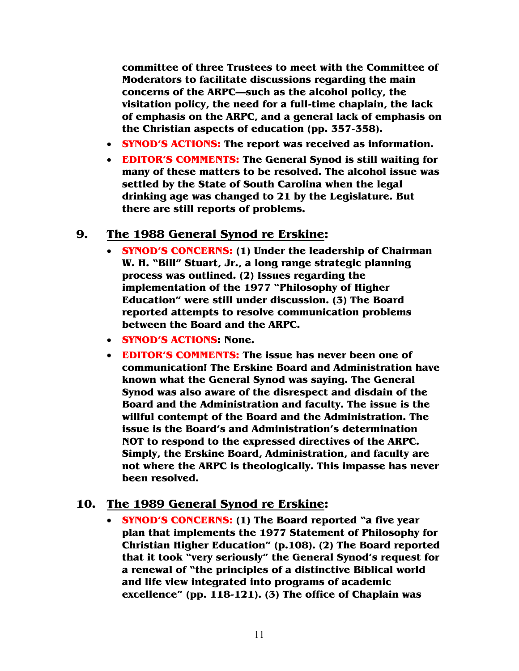**committee of three Trustees to meet with the Committee of Moderators to facilitate discussions regarding the main concerns of the ARPC—such as the alcohol policy, the visitation policy, the need for a full-time chaplain, the lack of emphasis on the ARPC, and a general lack of emphasis on the Christian aspects of education (pp. 357-358).** 

- **SYNOD'S ACTIONS: The report was received as information.**
- **EDITOR'S COMMENTS: The General Synod is still waiting for many of these matters to be resolved. The alcohol issue was settled by the State of South Carolina when the legal drinking age was changed to 21 by the Legislature. But there are still reports of problems.**

## **9. The 1988 General Synod re Erskine:**

- **SYNOD'S CONCERNS: (1) Under the leadership of Chairman W. H. "Bill" Stuart, Jr., a long range strategic planning process was outlined. (2) Issues regarding the implementation of the 1977 "Philosophy of Higher Education" were still under discussion. (3) The Board reported attempts to resolve communication problems between the Board and the ARPC.**
- **SYNOD'S ACTIONS: None.**
- **EDITOR'S COMMENTS: The issue has never been one of communication! The Erskine Board and Administration have known what the General Synod was saying. The General Synod was also aware of the disrespect and disdain of the Board and the Administration and faculty. The issue is the willful contempt of the Board and the Administration. The issue is the Board's and Administration's determination NOT to respond to the expressed directives of the ARPC. Simply, the Erskine Board, Administration, and faculty are not where the ARPC is theologically. This impasse has never been resolved.**

#### **10. The 1989 General Synod re Erskine:**

• **SYNOD'S CONCERNS: (1) The Board reported "a five year plan that implements the 1977 Statement of Philosophy for Christian Higher Education" (p.108). (2) The Board reported that it took "very seriously" the General Synod's request for a renewal of "the principles of a distinctive Biblical world and life view integrated into programs of academic excellence" (pp. 118-121). (3) The office of Chaplain was**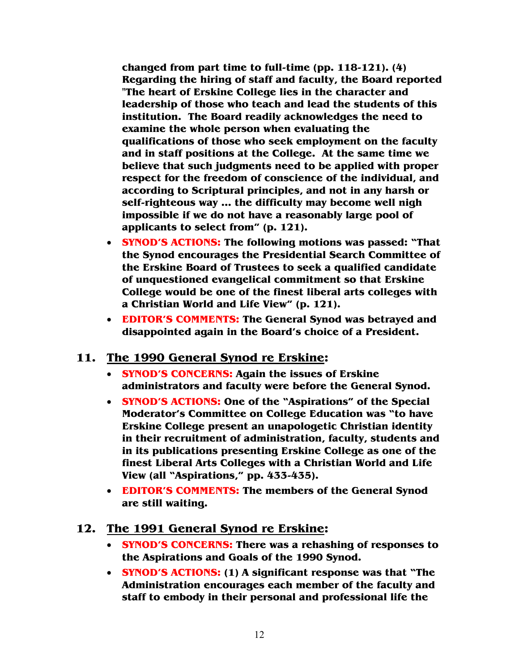**changed from part time to full-time (pp. 118-121). (4) Regarding the hiring of staff and faculty, the Board reported "The heart of Erskine College lies in the character and leadership of those who teach and lead the students of this institution. The Board readily acknowledges the need to examine the whole person when evaluating the qualifications of those who seek employment on the faculty and in staff positions at the College. At the same time we believe that such judgments need to be applied with proper respect for the freedom of conscience of the individual, and according to Scriptural principles, and not in any harsh or self-righteous way ... the difficulty may become well nigh impossible if we do not have a reasonably large pool of applicants to select from" (p. 121).** 

- **SYNOD'S ACTIONS: The following motions was passed: "That the Synod encourages the Presidential Search Committee of the Erskine Board of Trustees to seek a qualified candidate of unquestioned evangelical commitment so that Erskine College would be one of the finest liberal arts colleges with a Christian World and Life View" (p. 121).**
- **EDITOR'S COMMENTS: The General Synod was betrayed and disappointed again in the Board's choice of a President.**

#### **11. The 1990 General Synod re Erskine:**

- **SYNOD'S CONCERNS: Again the issues of Erskine administrators and faculty were before the General Synod.**
- **SYNOD'S ACTIONS: One of the "Aspirations" of the Special Moderator's Committee on College Education was "to have Erskine College present an unapologetic Christian identity in their recruitment of administration, faculty, students and in its publications presenting Erskine College as one of the finest Liberal Arts Colleges with a Christian World and Life View (all "Aspirations," pp. 433-435).**
- **EDITOR'S COMMENTS: The members of the General Synod are still waiting.**

#### **12. The 1991 General Synod re Erskine:**

- **SYNOD'S CONCERNS: There was a rehashing of responses to the Aspirations and Goals of the 1990 Synod.**
- **SYNOD'S ACTIONS: (1) A significant response was that "The Administration encourages each member of the faculty and staff to embody in their personal and professional life the**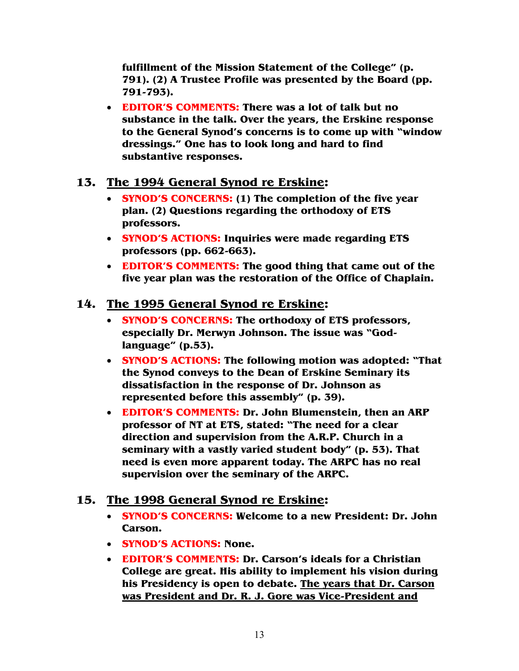**fulfillment of the Mission Statement of the College" (p. 791). (2) A Trustee Profile was presented by the Board (pp. 791-793).** 

• **EDITOR'S COMMENTS: There was a lot of talk but no substance in the talk. Over the years, the Erskine response to the General Synod's concerns is to come up with "window dressings." One has to look long and hard to find substantive responses.** 

#### **13. The 1994 General Synod re Erskine:**

- **SYNOD'S CONCERNS: (1) The completion of the five year plan. (2) Questions regarding the orthodoxy of ETS professors.**
- **SYNOD'S ACTIONS: Inquiries were made regarding ETS professors (pp. 662-663).**
- **EDITOR'S COMMENTS: The good thing that came out of the five year plan was the restoration of the Office of Chaplain.**

# **14. The 1995 General Synod re Erskine:**

- **SYNOD'S CONCERNS: The orthodoxy of ETS professors, especially Dr. Merwyn Johnson. The issue was "Godlanguage" (p.53).**
- **SYNOD'S ACTIONS: The following motion was adopted: "That the Synod conveys to the Dean of Erskine Seminary its dissatisfaction in the response of Dr. Johnson as represented before this assembly" (p. 39).**
- **EDITOR'S COMMENTS: Dr. John Blumenstein, then an ARP professor of NT at ETS, stated: "The need for a clear direction and supervision from the A.R.P. Church in a seminary with a vastly varied student body" (p. 53). That need is even more apparent today. The ARPC has no real supervision over the seminary of the ARPC.**

# **15. The 1998 General Synod re Erskine:**

- **SYNOD'S CONCERNS: Welcome to a new President: Dr. John Carson.**
- **SYNOD'S ACTIONS: None.**
- **EDITOR'S COMMENTS: Dr. Carson's ideals for a Christian College are great. His ability to implement his vision during his Presidency is open to debate. The years that Dr. Carson was President and Dr. R. J. Gore was Vice-President and**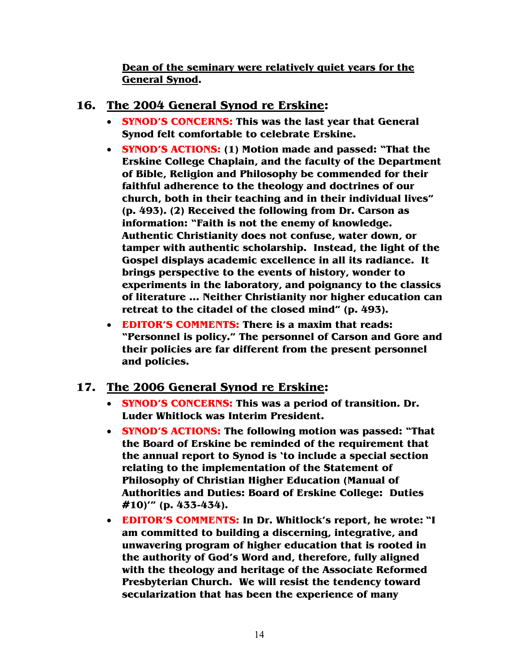**Dean of the seminary were relatively quiet years for the General Synod.** 

#### **16. The 2004 General Synod re Erskine:**

- **SYNOD'S CONCERNS: This was the last year that General Synod felt comfortable to celebrate Erskine.**
- **SYNOD'S ACTIONS: (1) Motion made and passed: "That the Erskine College Chaplain, and the faculty of the Department of Bible, Religion and Philosophy be commended for their faithful adherence to the theology and doctrines of our church, both in their teaching and in their individual lives" (p. 493). (2) Received the following from Dr. Carson as information: "Faith is not the enemy of knowledge. Authentic Christianity does not confuse, water down, or tamper with authentic scholarship. Instead, the light of the Gospel displays academic excellence in all its radiance. It brings perspective to the events of history, wonder to experiments in the laboratory, and poignancy to the classics of literature … Neither Christianity nor higher education can retreat to the citadel of the closed mind" (p. 493).**
- **EDITOR'S COMMENTS: There is a maxim that reads: "Personnel is policy." The personnel of Carson and Gore and their policies are far different from the present personnel and policies.**

#### **17. The 2006 General Synod re Erskine:**

- **SYNOD'S CONCERNS: This was a period of transition. Dr. Luder Whitlock was Interim President.**
- **SYNOD'S ACTIONS: The following motion was passed: "That the Board of Erskine be reminded of the requirement that the annual report to Synod is 'to include a special section relating to the implementation of the Statement of Philosophy of Christian Higher Education (Manual of Authorities and Duties: Board of Erskine College: Duties #10)'" (p. 433-434).**
- **EDITOR'S COMMENTS: In Dr. Whitlock's report, he wrote: "I am committed to building a discerning, integrative, and unwavering program of higher education that is rooted in the authority of God's Word and, therefore, fully aligned with the theology and heritage of the Associate Reformed Presbyterian Church. We will resist the tendency toward secularization that has been the experience of many**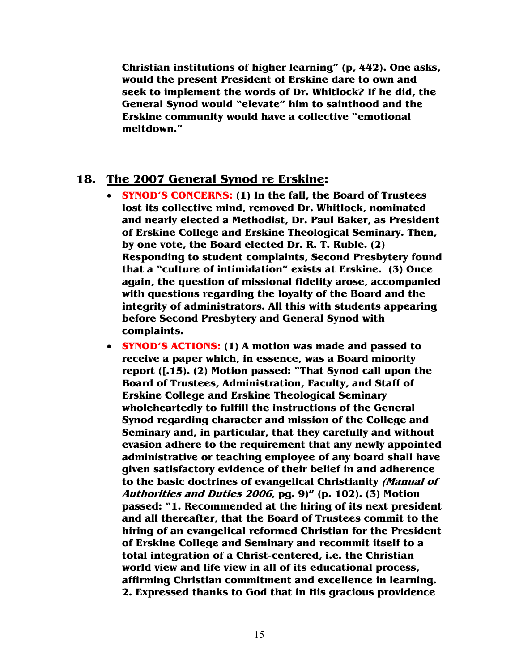**Christian institutions of higher learning" (p, 442). One asks, would the present President of Erskine dare to own and seek to implement the words of Dr. Whitlock? If he did, the General Synod would "elevate" him to sainthood and the Erskine community would have a collective "emotional meltdown."** 

#### **18. The 2007 General Synod re Erskine:**

- **SYNOD'S CONCERNS: (1) In the fall, the Board of Trustees lost its collective mind, removed Dr. Whitlock, nominated and nearly elected a Methodist, Dr. Paul Baker, as President of Erskine College and Erskine Theological Seminary. Then, by one vote, the Board elected Dr. R. T. Ruble. (2) Responding to student complaints, Second Presbytery found that a "culture of intimidation" exists at Erskine. (3) Once again, the question of missional fidelity arose, accompanied with questions regarding the loyalty of the Board and the integrity of administrators. All this with students appearing before Second Presbytery and General Synod with complaints.**
- **SYNOD'S ACTIONS: (1) A motion was made and passed to receive a paper which, in essence, was a Board minority report ([.15). (2) Motion passed: "That Synod call upon the Board of Trustees, Administration, Faculty, and Staff of Erskine College and Erskine Theological Seminary wholeheartedly to fulfill the instructions of the General Synod regarding character and mission of the College and Seminary and, in particular, that they carefully and without evasion adhere to the requirement that any newly appointed administrative or teaching employee of any board shall have given satisfactory evidence of their belief in and adherence to the basic doctrines of evangelical Christianity (Manual of Authorities and Duties 2006, pg. 9)" (p. 102). (3) Motion passed: "1. Recommended at the hiring of its next president and all thereafter, that the Board of Trustees commit to the hiring of an evangelical reformed Christian for the President of Erskine College and Seminary and recommit itself to a total integration of a Christ-centered, i.e. the Christian world view and life view in all of its educational process, affirming Christian commitment and excellence in learning. 2. Expressed thanks to God that in His gracious providence**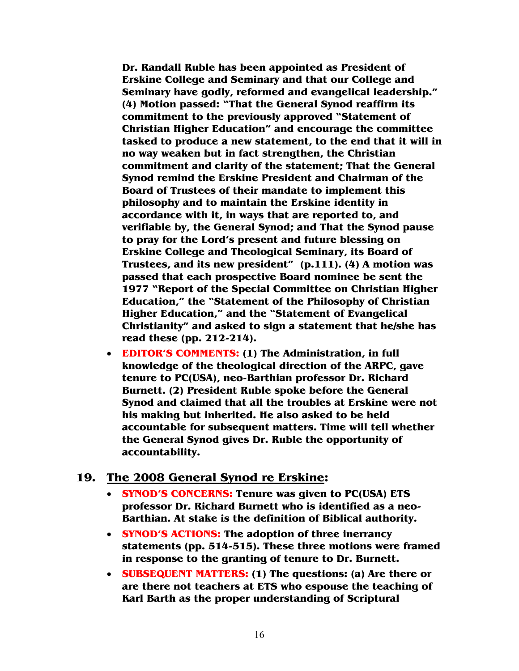**Dr. Randall Ruble has been appointed as President of Erskine College and Seminary and that our College and Seminary have godly, reformed and evangelical leadership." (4) Motion passed: "That the General Synod reaffirm its commitment to the previously approved "Statement of Christian Higher Education" and encourage the committee tasked to produce a new statement, to the end that it will in no way weaken but in fact strengthen, the Christian commitment and clarity of the statement; That the General Synod remind the Erskine President and Chairman of the Board of Trustees of their mandate to implement this philosophy and to maintain the Erskine identity in accordance with it, in ways that are reported to, and verifiable by, the General Synod; and That the Synod pause to pray for the Lord's present and future blessing on Erskine College and Theological Seminary, its Board of Trustees, and its new president" (p.111). (4) A motion was passed that each prospective Board nominee be sent the 1977 "Report of the Special Committee on Christian Higher Education," the "Statement of the Philosophy of Christian Higher Education," and the "Statement of Evangelical Christianity" and asked to sign a statement that he/she has read these (pp. 212-214).** 

• **EDITOR'S COMMENTS: (1) The Administration, in full knowledge of the theological direction of the ARPC, gave tenure to PC(USA), neo-Barthian professor Dr. Richard Burnett. (2) President Ruble spoke before the General Synod and claimed that all the troubles at Erskine were not his making but inherited. He also asked to be held accountable for subsequent matters. Time will tell whether the General Synod gives Dr. Ruble the opportunity of accountability.** 

#### **19. The 2008 General Synod re Erskine:**

- **SYNOD'S CONCERNS: Tenure was given to PC(USA) ETS professor Dr. Richard Burnett who is identified as a neo-Barthian. At stake is the definition of Biblical authority.**
- **SYNOD'S ACTIONS: The adoption of three inerrancy statements (pp. 514-515). These three motions were framed in response to the granting of tenure to Dr. Burnett.**
- **SUBSEQUENT MATTERS: (1) The questions: (a) Are there or are there not teachers at ETS who espouse the teaching of Karl Barth as the proper understanding of Scriptural**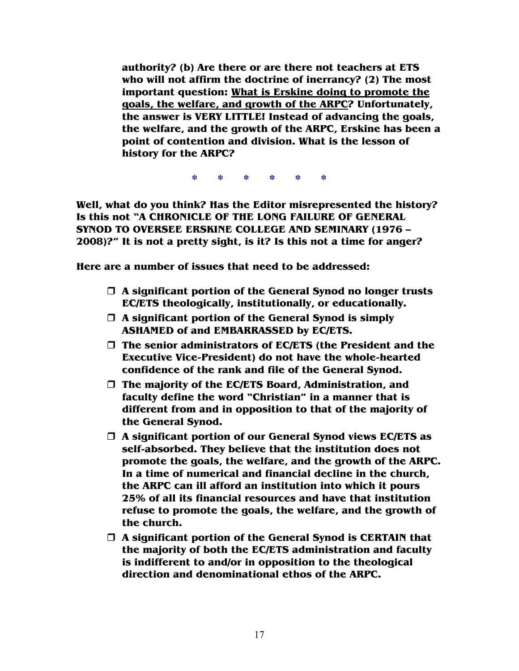**authority? (b) Are there or are there not teachers at ETS who will not affirm the doctrine of inerrancy? (2) The most important question: What is Erskine doing to promote the goals, the welfare, and growth of the ARPC? Unfortunately, the answer is VERY LITTLE! Instead of advancing the goals, the welfare, and the growth of the ARPC, Erskine has been a point of contention and division. What is the lesson of history for the ARPC?** 

**\* \* \* \* \* \*** 

**Well, what do you think? Has the Editor misrepresented the history? Is this not "A CHRONICLE OF THE LONG FAILURE OF GENERAL SYNOD TO OVERSEE ERSKINE COLLEGE AND SEMINARY (1976 – 2008)?" It is not a pretty sight, is it? Is this not a time for anger?** 

**Here are a number of issues that need to be addressed:** 

- **A significant portion of the General Synod no longer trusts EC/ETS theologically, institutionally, or educationally.**
- **A significant portion of the General Synod is simply ASHAMED of and EMBARRASSED by EC/ETS.**
- **The senior administrators of EC/ETS (the President and the Executive Vice-President) do not have the whole-hearted confidence of the rank and file of the General Synod.**
- **The majority of the EC/ETS Board, Administration, and faculty define the word "Christian" in a manner that is different from and in opposition to that of the majority of the General Synod.**
- **A significant portion of our General Synod views EC/ETS as self-absorbed. They believe that the institution does not promote the goals, the welfare, and the growth of the ARPC. In a time of numerical and financial decline in the church, the ARPC can ill afford an institution into which it pours 25% of all its financial resources and have that institution refuse to promote the goals, the welfare, and the growth of the church.**
- **A significant portion of the General Synod is CERTAIN that the majority of both the EC/ETS administration and faculty is indifferent to and/or in opposition to the theological direction and denominational ethos of the ARPC.**